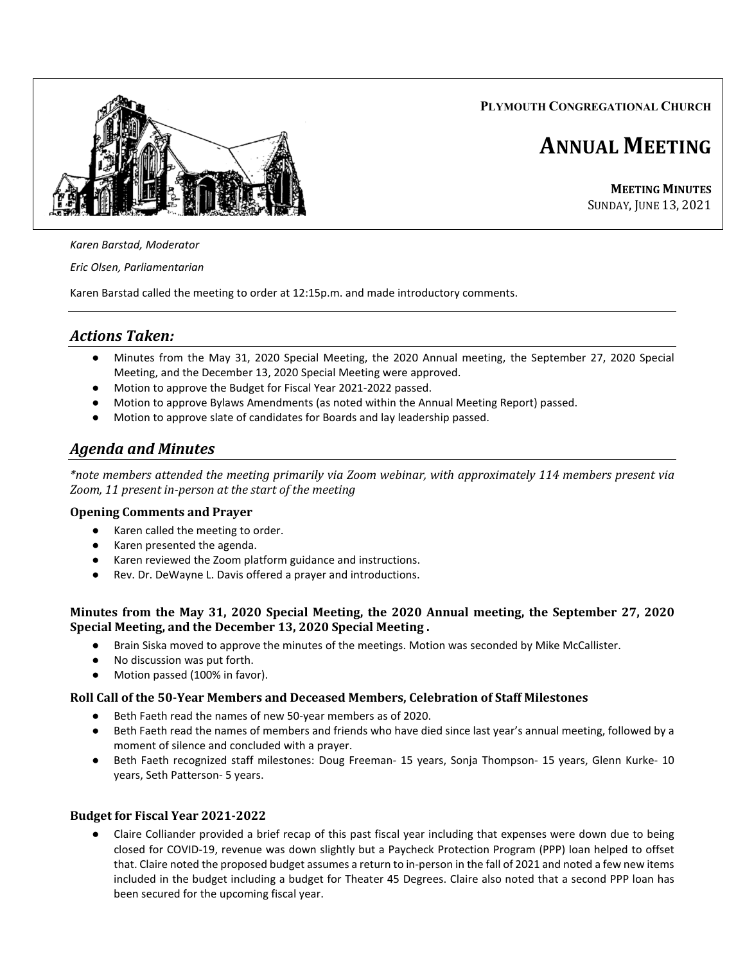**PLYMOUTH CONGREGATIONAL CHURCH**



# **ANNUAL MEETING**

**MEETING MINUTES** SUNDAY, JUNE 13, 2021

## *Karen Barstad, Moderator*

*Eric Olsen, Parliamentarian*

Karen Barstad called the meeting to order at 12:15p.m. and made introductory comments.

# *Actions Taken:*

- Minutes from the May 31, 2020 Special Meeting, the 2020 Annual meeting, the September 27, 2020 Special Meeting, and the December 13, 2020 Special Meeting were approved.
- Motion to approve the Budget for Fiscal Year 2021-2022 passed.
- Motion to approve Bylaws Amendments (as noted within the Annual Meeting Report) passed.
- Motion to approve slate of candidates for Boards and lay leadership passed.

# *Agenda and Minutes*

*\*note members attended the meeting primarily via Zoom webinar, with approximately 114 members present via Zoom, 11 present in-person at the start of the meeting*

### **Opening Comments and Prayer**

- Karen called the meeting to order.
- Karen presented the agenda.
- Karen reviewed the Zoom platform guidance and instructions.
- Rev. Dr. DeWayne L. Davis offered a prayer and introductions.

### **Minutes from the May 31, 2020 Special Meeting, the 2020 Annual meeting, the September 27, 2020 Special Meeting, and the December 13, 2020 Special Meeting .**

- Brain Siska moved to approve the minutes of the meetings. Motion was seconded by Mike McCallister.
- No discussion was put forth.
- Motion passed (100% in favor).

### **Roll Call of the 50-Year Members and Deceased Members, Celebration of Staff Milestones**

- Beth Faeth read the names of new 50-year members as of 2020.
- Beth Faeth read the names of members and friends who have died since last year's annual meeting, followed by a moment of silence and concluded with a prayer.
- Beth Faeth recognized staff milestones: Doug Freeman- 15 years, Sonja Thompson- 15 years, Glenn Kurke- 10 years, Seth Patterson- 5 years.

### **Budget for Fiscal Year 2021-2022**

Claire Colliander provided a brief recap of this past fiscal year including that expenses were down due to being closed for COVID-19, revenue was down slightly but a Paycheck Protection Program (PPP) loan helped to offset that. Claire noted the proposed budget assumes a return to in-person in the fall of 2021 and noted a few new items included in the budget including a budget for Theater 45 Degrees. Claire also noted that a second PPP loan has been secured for the upcoming fiscal year.